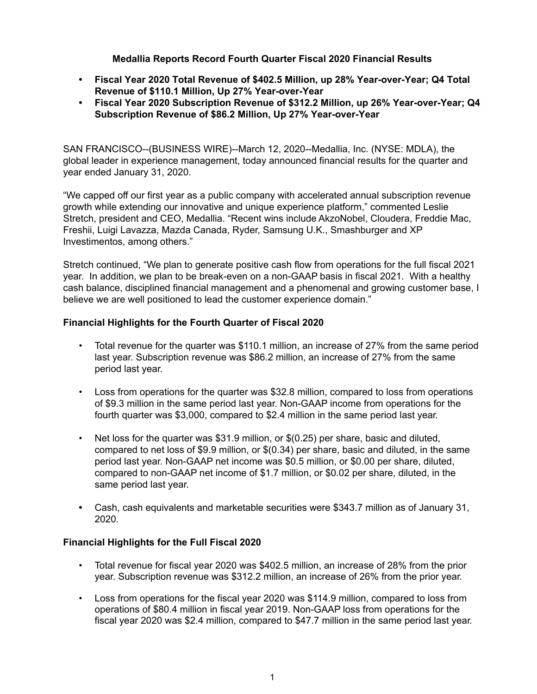# **Medallia Reports Record Fourth Quarter Fiscal 2020 Financial Results**

- **• Fiscal Year 2020 Total Revenue of \$402.5 Million, up 28% Year-over-Year; Q4 Total Revenue of \$110.1 Million, Up 27% Year-over-Year**
- **• Fiscal Year 2020 Subscription Revenue of \$312.2 Million, up 26% Year-over-Year; Q4 Subscription Revenue of \$86.2 Million, Up 27% Year-over-Year**

SAN FRANCISCO--(BUSINESS WIRE)--March 12, 2020--Medallia, Inc. (NYSE: MDLA), the global leader in experience management, today announced financial results for the quarter and year ended January 31, 2020.

"We capped off our first year as a public company with accelerated annual subscription revenue growth while extending our innovative and unique experience platform," commented Leslie Stretch, president and CEO, Medallia. "Recent wins include AkzoNobel, Cloudera, Freddie Mac, Freshii, Luigi Lavazza, Mazda Canada, Ryder, Samsung U.K., Smashburger and XP Investimentos, among others."

Stretch continued, "We plan to generate positive cash flow from operations for the full fiscal 2021 year. In addition, we plan to be break-even on a non-GAAP basis in fiscal 2021. With a healthy cash balance, disciplined financial management and a phenomenal and growing customer base, I believe we are well positioned to lead the customer experience domain."

# **Financial Highlights for the Fourth Quarter of Fiscal 2020**

- Total revenue for the quarter was \$110.1 million, an increase of 27% from the same period last year. Subscription revenue was \$86.2 million, an increase of 27% from the same period last year.
- Loss from operations for the quarter was \$32.8 million, compared to loss from operations of \$9.3 million in the same period last year. Non-GAAP income from operations for the fourth quarter was \$3,000, compared to \$2.4 million in the same period last year.
- Net loss for the quarter was \$31.9 million, or \$(0.25) per share, basic and diluted, compared to net loss of \$9.9 million, or \$(0.34) per share, basic and diluted, in the same period last year. Non-GAAP net income was \$0.5 million, or \$0.00 per share, diluted, compared to non-GAAP net income of \$1.7 million, or \$0.02 per share, diluted, in the same period last year.
- **•** Cash, cash equivalents and marketable securities were \$343.7 million as of January 31, 2020.

# **Financial Highlights for the Full Fiscal 2020**

- Total revenue for fiscal year 2020 was \$402.5 million, an increase of 28% from the prior year. Subscription revenue was \$312.2 million, an increase of 26% from the prior year.
- Loss from operations for the fiscal year 2020 was \$114.9 million, compared to loss from operations of \$80.4 million in fiscal year 2019. Non-GAAP loss from operations for the fiscal year 2020 was \$2.4 million, compared to \$47.7 million in the same period last year.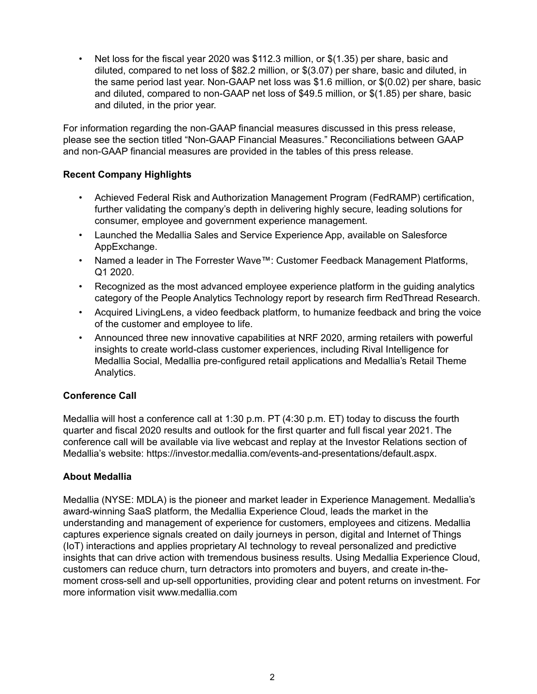• Net loss for the fiscal year 2020 was \$112.3 million, or \$(1.35) per share, basic and diluted, compared to net loss of \$82.2 million, or \$(3.07) per share, basic and diluted, in the same period last year. Non-GAAP net loss was \$1.6 million, or \$(0.02) per share, basic and diluted, compared to non-GAAP net loss of \$49.5 million, or \$(1.85) per share, basic and diluted, in the prior year.

For information regarding the non-GAAP financial measures discussed in this press release, please see the section titled "Non-GAAP Financial Measures." Reconciliations between GAAP and non-GAAP financial measures are provided in the tables of this press release.

# **Recent Company Highlights**

- Achieved Federal Risk and Authorization Management Program (FedRAMP) certification, further validating the company's depth in delivering highly secure, leading solutions for consumer, employee and government experience management.
- Launched the Medallia Sales and Service Experience App, available on Salesforce AppExchange.
- Named a leader in The Forrester Wave™: Customer Feedback Management Platforms, Q1 2020.
- Recognized as the most advanced employee experience platform in the guiding analytics category of the People Analytics Technology report by research firm RedThread Research.
- Acquired LivingLens, a video feedback platform, to humanize feedback and bring the voice of the customer and employee to life.
- Announced three new innovative capabilities at NRF 2020, arming retailers with powerful insights to create world-class customer experiences, including Rival Intelligence for Medallia Social, Medallia pre-configured retail applications and Medallia's Retail Theme Analytics.

# **Conference Call**

Medallia will host a conference call at 1:30 p.m. PT (4:30 p.m. ET) today to discuss the fourth quarter and fiscal 2020 results and outlook for the first quarter and full fiscal year 2021. The conference call will be available via live webcast and replay at the Investor Relations section of Medallia's website: https://investor.medallia.com/events-and-presentations/default.aspx.

# **About Medallia**

Medallia (NYSE: MDLA) is the pioneer and market leader in Experience Management. Medallia's award-winning SaaS platform, the Medallia Experience Cloud, leads the market in the understanding and management of experience for customers, employees and citizens. Medallia captures experience signals created on daily journeys in person, digital and Internet of Things (IoT) interactions and applies proprietary AI technology to reveal personalized and predictive insights that can drive action with tremendous business results. Using Medallia Experience Cloud, customers can reduce churn, turn detractors into promoters and buyers, and create in-themoment cross-sell and up-sell opportunities, providing clear and potent returns on investment. For more information visit www.medallia.com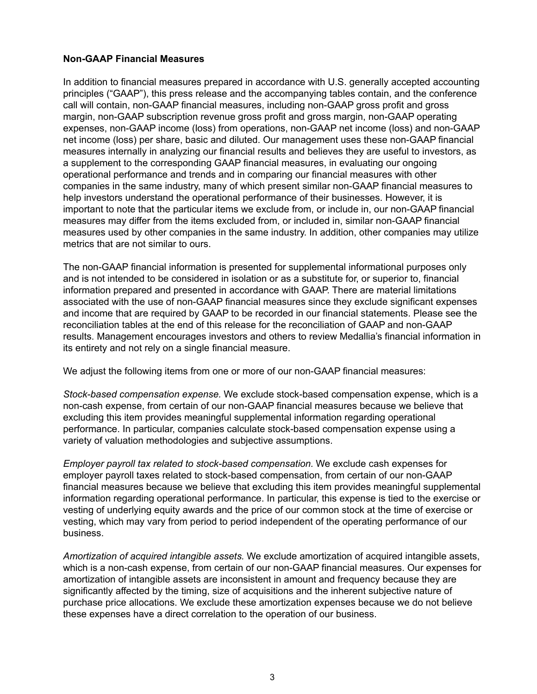## **Non-GAAP Financial Measures**

In addition to financial measures prepared in accordance with U.S. generally accepted accounting principles ("GAAP"), this press release and the accompanying tables contain, and the conference call will contain, non-GAAP financial measures, including non-GAAP gross profit and gross margin, non-GAAP subscription revenue gross profit and gross margin, non-GAAP operating expenses, non-GAAP income (loss) from operations, non-GAAP net income (loss) and non-GAAP net income (loss) per share, basic and diluted. Our management uses these non-GAAP financial measures internally in analyzing our financial results and believes they are useful to investors, as a supplement to the corresponding GAAP financial measures, in evaluating our ongoing operational performance and trends and in comparing our financial measures with other companies in the same industry, many of which present similar non-GAAP financial measures to help investors understand the operational performance of their businesses. However, it is important to note that the particular items we exclude from, or include in, our non-GAAP financial measures may differ from the items excluded from, or included in, similar non-GAAP financial measures used by other companies in the same industry. In addition, other companies may utilize metrics that are not similar to ours.

The non-GAAP financial information is presented for supplemental informational purposes only and is not intended to be considered in isolation or as a substitute for, or superior to, financial information prepared and presented in accordance with GAAP. There are material limitations associated with the use of non-GAAP financial measures since they exclude significant expenses and income that are required by GAAP to be recorded in our financial statements. Please see the reconciliation tables at the end of this release for the reconciliation of GAAP and non-GAAP results. Management encourages investors and others to review Medallia's financial information in its entirety and not rely on a single financial measure.

We adjust the following items from one or more of our non-GAAP financial measures:

*Stock-based compensation expense.* We exclude stock-based compensation expense, which is a non-cash expense, from certain of our non-GAAP financial measures because we believe that excluding this item provides meaningful supplemental information regarding operational performance. In particular, companies calculate stock-based compensation expense using a variety of valuation methodologies and subjective assumptions.

*Employer payroll tax related to stock-based compensation.* We exclude cash expenses for employer payroll taxes related to stock-based compensation, from certain of our non-GAAP financial measures because we believe that excluding this item provides meaningful supplemental information regarding operational performance. In particular, this expense is tied to the exercise or vesting of underlying equity awards and the price of our common stock at the time of exercise or vesting, which may vary from period to period independent of the operating performance of our business.

*Amortization of acquired intangible assets.* We exclude amortization of acquired intangible assets, which is a non-cash expense, from certain of our non-GAAP financial measures. Our expenses for amortization of intangible assets are inconsistent in amount and frequency because they are significantly affected by the timing, size of acquisitions and the inherent subjective nature of purchase price allocations. We exclude these amortization expenses because we do not believe these expenses have a direct correlation to the operation of our business.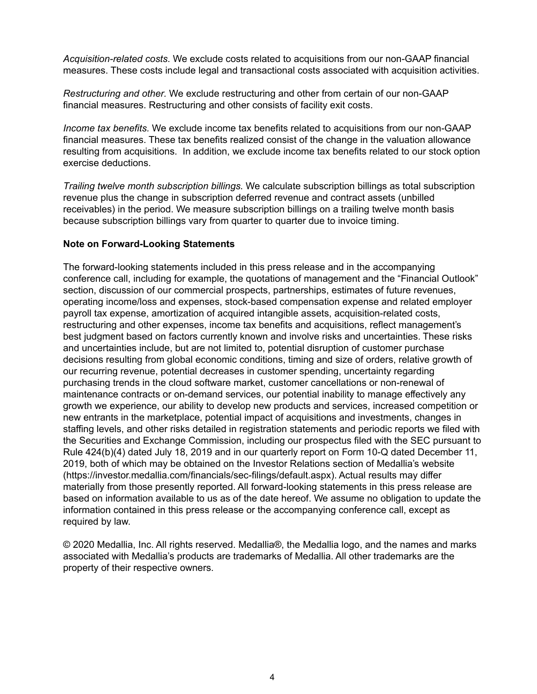*Acquisition-related costs*. We exclude costs related to acquisitions from our non-GAAP financial measures. These costs include legal and transactional costs associated with acquisition activities.

*Restructuring and other.* We exclude restructuring and other from certain of our non-GAAP financial measures. Restructuring and other consists of facility exit costs.

*Income tax benefits.* We exclude income tax benefits related to acquisitions from our non-GAAP financial measures. These tax benefits realized consist of the change in the valuation allowance resulting from acquisitions. In addition, we exclude income tax benefits related to our stock option exercise deductions.

*Trailing twelve month subscription billings*. We calculate subscription billings as total subscription revenue plus the change in subscription deferred revenue and contract assets (unbilled receivables) in the period. We measure subscription billings on a trailing twelve month basis because subscription billings vary from quarter to quarter due to invoice timing.

## **Note on Forward-Looking Statements**

The forward-looking statements included in this press release and in the accompanying conference call, including for example, the quotations of management and the "Financial Outlook" section, discussion of our commercial prospects, partnerships, estimates of future revenues, operating income/loss and expenses, stock-based compensation expense and related employer payroll tax expense, amortization of acquired intangible assets, acquisition-related costs, restructuring and other expenses, income tax benefits and acquisitions, reflect management's best judgment based on factors currently known and involve risks and uncertainties. These risks and uncertainties include, but are not limited to, potential disruption of customer purchase decisions resulting from global economic conditions, timing and size of orders, relative growth of our recurring revenue, potential decreases in customer spending, uncertainty regarding purchasing trends in the cloud software market, customer cancellations or non-renewal of maintenance contracts or on-demand services, our potential inability to manage effectively any growth we experience, our ability to develop new products and services, increased competition or new entrants in the marketplace, potential impact of acquisitions and investments, changes in staffing levels, and other risks detailed in registration statements and periodic reports we filed with the Securities and Exchange Commission, including our prospectus filed with the SEC pursuant to Rule 424(b)(4) dated July 18, 2019 and in our quarterly report on Form 10-Q dated December 11, 2019, both of which may be obtained on the Investor Relations section of Medallia's website (https://investor.medallia.com/financials/sec-filings/default.aspx). Actual results may differ materially from those presently reported. All forward-looking statements in this press release are based on information available to us as of the date hereof. We assume no obligation to update the information contained in this press release or the accompanying conference call, except as required by law.

© 2020 Medallia, Inc. All rights reserved. Medallia®, the Medallia logo, and the names and marks associated with Medallia's products are trademarks of Medallia. All other trademarks are the property of their respective owners.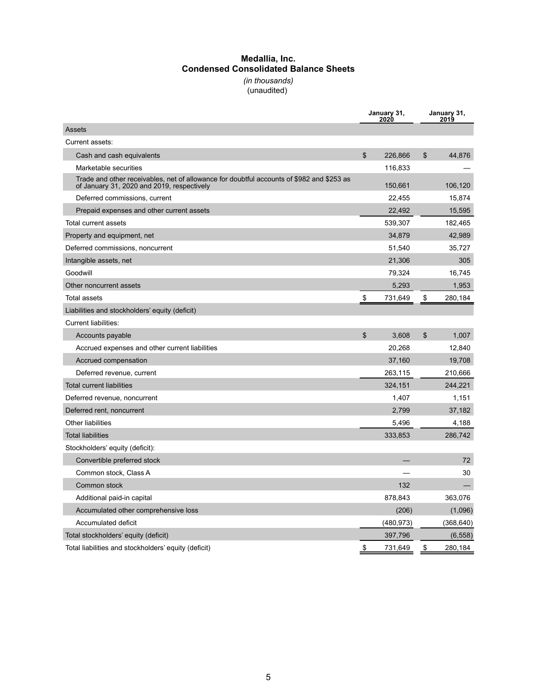# **Medallia, Inc. Condensed Consolidated Balance Sheets** *(in thousands)*

(unaudited)

|                                                                                                                                         |                | January 31,<br>2020 |              | January 31,<br>2019 |
|-----------------------------------------------------------------------------------------------------------------------------------------|----------------|---------------------|--------------|---------------------|
| Assets                                                                                                                                  |                |                     |              |                     |
| Current assets:                                                                                                                         |                |                     |              |                     |
| Cash and cash equivalents                                                                                                               | $\mathfrak{S}$ | 226,866             | $\mathbb{S}$ | 44,876              |
| Marketable securities                                                                                                                   |                | 116,833             |              |                     |
| Trade and other receivables, net of allowance for doubtful accounts of \$982 and \$253 as<br>of January 31, 2020 and 2019, respectively |                | 150,661             |              | 106,120             |
| Deferred commissions, current                                                                                                           |                | 22,455              |              | 15,874              |
| Prepaid expenses and other current assets                                                                                               |                | 22,492              |              | 15,595              |
| Total current assets                                                                                                                    |                | 539,307             |              | 182,465             |
| Property and equipment, net                                                                                                             |                | 34,879              |              | 42,989              |
| Deferred commissions, noncurrent                                                                                                        |                | 51,540              |              | 35,727              |
| Intangible assets, net                                                                                                                  |                | 21,306              |              | 305                 |
| Goodwill                                                                                                                                |                | 79,324              |              | 16,745              |
| Other noncurrent assets                                                                                                                 |                | 5,293               |              | 1,953               |
| <b>Total assets</b>                                                                                                                     | \$             | 731,649             | \$           | 280,184             |
| Liabilities and stockholders' equity (deficit)                                                                                          |                |                     |              |                     |
| Current liabilities:                                                                                                                    |                |                     |              |                     |
| Accounts payable                                                                                                                        | \$             | 3,608               | \$           | 1,007               |
| Accrued expenses and other current liabilities                                                                                          |                | 20,268              |              | 12,840              |
| Accrued compensation                                                                                                                    |                | 37,160              |              | 19,708              |
| Deferred revenue, current                                                                                                               |                | 263,115             |              | 210,666             |
| <b>Total current liabilities</b>                                                                                                        |                | 324,151             |              | 244,221             |
| Deferred revenue, noncurrent                                                                                                            |                | 1,407               |              | 1,151               |
| Deferred rent, noncurrent                                                                                                               |                | 2,799               |              | 37,182              |
| Other liabilities                                                                                                                       |                | 5,496               |              | 4,188               |
| <b>Total liabilities</b>                                                                                                                |                | 333,853             |              | 286,742             |
| Stockholders' equity (deficit):                                                                                                         |                |                     |              |                     |
| Convertible preferred stock                                                                                                             |                |                     |              | 72                  |
| Common stock, Class A                                                                                                                   |                |                     |              | 30                  |
| Common stock                                                                                                                            |                | 132                 |              |                     |
| Additional paid-in capital                                                                                                              |                | 878,843             |              | 363,076             |
| Accumulated other comprehensive loss                                                                                                    |                | (206)               |              | (1,096)             |
| Accumulated deficit                                                                                                                     |                | (480,973)           |              | (368, 640)          |
| Total stockholders' equity (deficit)                                                                                                    |                | 397,796             |              | (6, 558)            |
| Total liabilities and stockholders' equity (deficit)                                                                                    | \$             | 731,649             | \$           | 280,184             |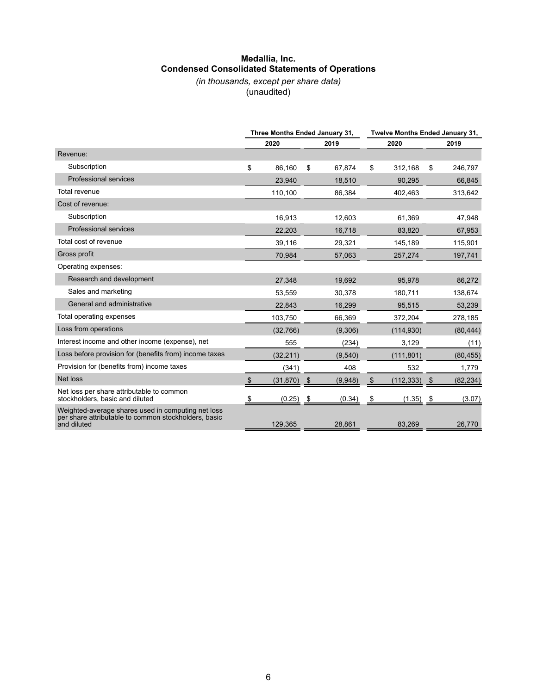# **Medallia, Inc. Condensed Consolidated Statements of Operations**

*(in thousands, except per share data)*

(unaudited)

|                                                                                                                           |     | Three Months Ended January 31, |     |         |                  | Twelve Months Ended January 31, |           |  |  |
|---------------------------------------------------------------------------------------------------------------------------|-----|--------------------------------|-----|---------|------------------|---------------------------------|-----------|--|--|
|                                                                                                                           |     | 2020                           |     | 2019    | 2020             |                                 | 2019      |  |  |
| Revenue:                                                                                                                  |     |                                |     |         |                  |                                 |           |  |  |
| Subscription                                                                                                              | \$  | 86,160                         | \$  | 67,874  | \$<br>312,168    | \$                              | 246,797   |  |  |
| Professional services                                                                                                     |     | 23,940                         |     | 18,510  | 90,295           |                                 | 66,845    |  |  |
| Total revenue                                                                                                             |     | 110,100                        |     | 86,384  | 402,463          |                                 | 313,642   |  |  |
| Cost of revenue:                                                                                                          |     |                                |     |         |                  |                                 |           |  |  |
| Subscription                                                                                                              |     | 16,913                         |     | 12,603  | 61,369           |                                 | 47,948    |  |  |
| <b>Professional services</b>                                                                                              |     | 22,203                         |     | 16,718  | 83,820           |                                 | 67,953    |  |  |
| Total cost of revenue                                                                                                     |     | 39,116                         |     | 29,321  | 145,189          |                                 | 115,901   |  |  |
| Gross profit                                                                                                              |     | 70,984                         |     | 57,063  | 257,274          |                                 | 197,741   |  |  |
| Operating expenses:                                                                                                       |     |                                |     |         |                  |                                 |           |  |  |
| Research and development                                                                                                  |     | 27,348                         |     | 19,692  | 95,978           |                                 | 86,272    |  |  |
| Sales and marketing                                                                                                       |     | 53,559                         |     | 30.378  | 180.711          |                                 | 138,674   |  |  |
| General and administrative                                                                                                |     | 22,843                         |     | 16.299  | 95,515           |                                 | 53,239    |  |  |
| Total operating expenses                                                                                                  |     | 103,750                        |     | 66,369  | 372,204          |                                 | 278,185   |  |  |
| Loss from operations                                                                                                      |     | (32,766)                       |     | (9,306) | (114, 930)       |                                 | (80, 444) |  |  |
| Interest income and other income (expense), net                                                                           |     | 555                            |     | (234)   | 3,129            |                                 | (11)      |  |  |
| Loss before provision for (benefits from) income taxes                                                                    |     | (32, 211)                      |     | (9,540) | (111, 801)       |                                 | (80, 455) |  |  |
| Provision for (benefits from) income taxes                                                                                |     | (341)                          |     | 408     | 532              |                                 | 1,779     |  |  |
| Net loss                                                                                                                  | \$. | (31, 870)                      | -\$ | (9,948) | \$<br>(112, 333) | -\$                             | (82, 234) |  |  |
| Net loss per share attributable to common<br>stockholders, basic and diluted                                              | S   | (0.25)                         | -\$ | (0.34)  | \$<br>(1.35)     | - \$                            | (3.07)    |  |  |
| Weighted-average shares used in computing net loss<br>per share attributable to common stockholders, basic<br>and diluted |     | 129.365                        |     | 28.861  | 83.269           |                                 | 26,770    |  |  |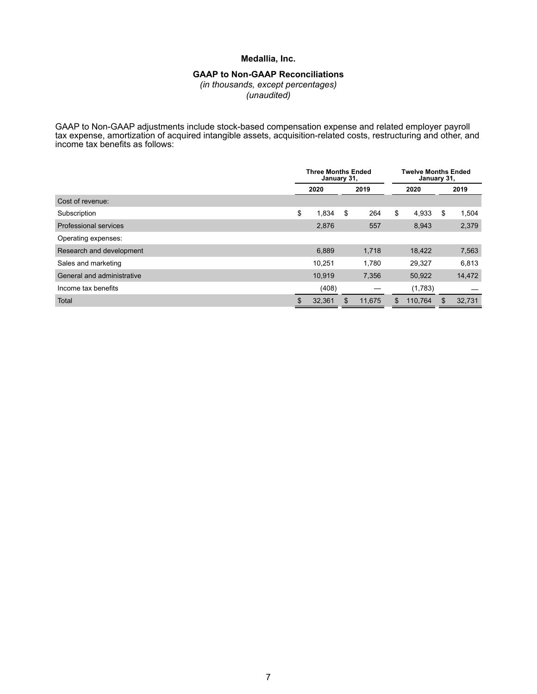## **Medallia, Inc.**

## **GAAP to Non-GAAP Reconciliations**

*(in thousands, except percentages) (unaudited)*

GAAP to Non-GAAP adjustments include stock-based compensation expense and related employer payroll tax expense, amortization of acquired intangible assets, acquisition-related costs, restructuring and other, and income tax benefits as follows:

|                            | <b>Three Months Ended</b><br>January 31, |        |      |        | <b>Twelve Months Ended</b><br>January 31, |         |      |        |  |      |
|----------------------------|------------------------------------------|--------|------|--------|-------------------------------------------|---------|------|--------|--|------|
|                            | 2020                                     |        | 2019 |        |                                           |         | 2020 |        |  | 2019 |
| Cost of revenue:           |                                          |        |      |        |                                           |         |      |        |  |      |
| Subscription               | \$                                       | 1,834  | \$   | 264    | \$                                        | 4,933   | \$   | 1,504  |  |      |
| Professional services      |                                          | 2,876  |      | 557    |                                           | 8,943   |      | 2,379  |  |      |
| Operating expenses:        |                                          |        |      |        |                                           |         |      |        |  |      |
| Research and development   |                                          | 6,889  |      | 1,718  |                                           | 18,422  |      | 7,563  |  |      |
| Sales and marketing        |                                          | 10.251 |      | 1.780  |                                           | 29,327  |      | 6,813  |  |      |
| General and administrative |                                          | 10,919 |      | 7,356  |                                           | 50,922  |      | 14,472 |  |      |
| Income tax benefits        |                                          | (408)  |      |        |                                           | (1,783) |      |        |  |      |
| Total                      | S                                        | 32,361 | \$   | 11,675 | \$.                                       | 110,764 | SS.  | 32,731 |  |      |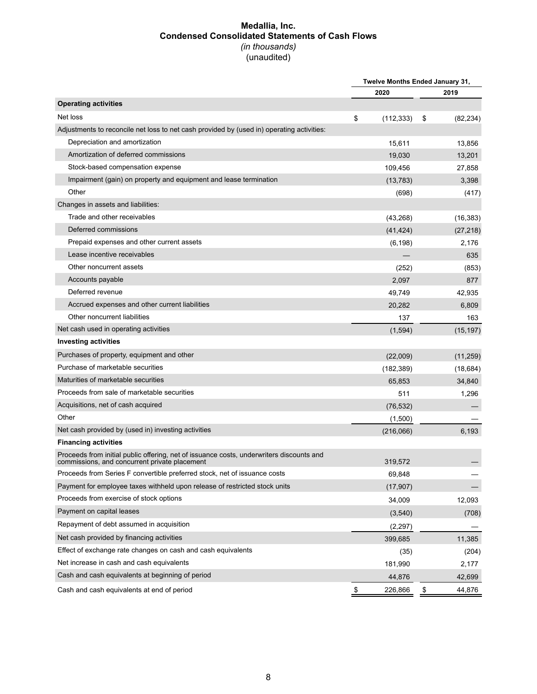## **Medallia, Inc. Condensed Consolidated Statements of Cash Flows** *(in thousands)* (unaudited)

|                                                                                                                                           |                  | <b>Twelve Months Ended January 31,</b> |
|-------------------------------------------------------------------------------------------------------------------------------------------|------------------|----------------------------------------|
|                                                                                                                                           | 2020             | 2019                                   |
| <b>Operating activities</b>                                                                                                               |                  |                                        |
| Net loss                                                                                                                                  | \$<br>(112, 333) | (82, 234)<br>\$                        |
| Adjustments to reconcile net loss to net cash provided by (used in) operating activities:                                                 |                  |                                        |
| Depreciation and amortization                                                                                                             | 15,611           | 13,856                                 |
| Amortization of deferred commissions                                                                                                      | 19,030           | 13,201                                 |
| Stock-based compensation expense                                                                                                          | 109,456          | 27,858                                 |
| Impairment (gain) on property and equipment and lease termination                                                                         | (13, 783)        | 3,398                                  |
| Other                                                                                                                                     | (698)            | (417)                                  |
| Changes in assets and liabilities:                                                                                                        |                  |                                        |
| Trade and other receivables                                                                                                               | (43, 268)        | (16, 383)                              |
| Deferred commissions                                                                                                                      | (41, 424)        | (27, 218)                              |
| Prepaid expenses and other current assets                                                                                                 | (6, 198)         | 2,176                                  |
| Lease incentive receivables                                                                                                               |                  | 635                                    |
| Other noncurrent assets                                                                                                                   | (252)            | (853)                                  |
| Accounts payable                                                                                                                          | 2,097            | 877                                    |
| Deferred revenue                                                                                                                          | 49,749           | 42,935                                 |
| Accrued expenses and other current liabilities                                                                                            | 20,282           | 6,809                                  |
| Other noncurrent liabilities                                                                                                              | 137              | 163                                    |
| Net cash used in operating activities                                                                                                     | (1,594)          | (15, 197)                              |
| <b>Investing activities</b>                                                                                                               |                  |                                        |
| Purchases of property, equipment and other                                                                                                | (22,009)         | (11, 259)                              |
| Purchase of marketable securities                                                                                                         | (182, 389)       | (18, 684)                              |
| Maturities of marketable securities                                                                                                       | 65,853           | 34,840                                 |
| Proceeds from sale of marketable securities                                                                                               | 511              | 1,296                                  |
| Acquisitions, net of cash acquired                                                                                                        | (76, 532)        |                                        |
| Other                                                                                                                                     | (1,500)          |                                        |
| Net cash provided by (used in) investing activities                                                                                       | (216,066)        | 6,193                                  |
| <b>Financing activities</b>                                                                                                               |                  |                                        |
| Proceeds from initial public offering, net of issuance costs, underwriters discounts and<br>commissions, and concurrent private placement | 319,572          |                                        |
| Proceeds from Series F convertible preferred stock, net of issuance costs                                                                 | 69,848           |                                        |
| Payment for employee taxes withheld upon release of restricted stock units                                                                | (17, 907)        |                                        |
| Proceeds from exercise of stock options                                                                                                   | 34,009           | 12,093                                 |
| Payment on capital leases                                                                                                                 | (3, 540)         | (708)                                  |
| Repayment of debt assumed in acquisition                                                                                                  | (2, 297)         |                                        |
| Net cash provided by financing activities                                                                                                 | 399,685          | 11,385                                 |
| Effect of exchange rate changes on cash and cash equivalents                                                                              | (35)             | (204)                                  |
| Net increase in cash and cash equivalents                                                                                                 | 181,990          | 2,177                                  |
| Cash and cash equivalents at beginning of period                                                                                          | 44,876           | 42,699                                 |
| Cash and cash equivalents at end of period                                                                                                | \$<br>226,866    | \$<br>44,876                           |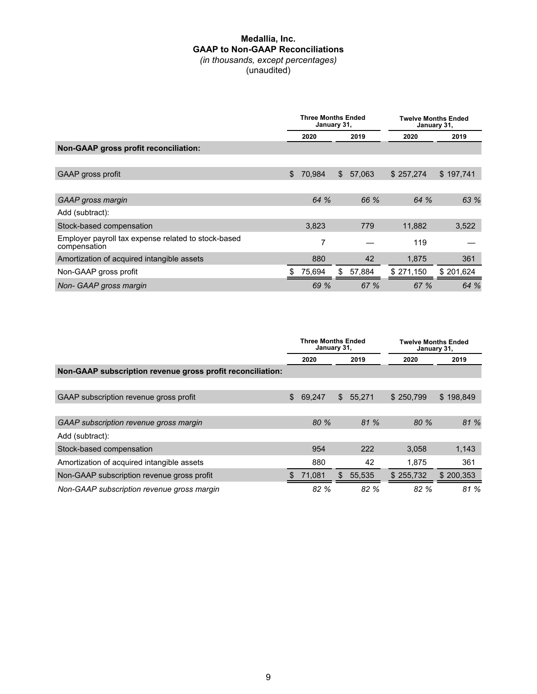## **Medallia, Inc. GAAP to Non-GAAP Reconciliations** *(in thousands, except percentages)* (unaudited)

|                                                                     | <b>Three Months Ended</b><br>January 31, |        |              |        | <b>Twelve Months Ended</b><br>January 31, |           |  |
|---------------------------------------------------------------------|------------------------------------------|--------|--------------|--------|-------------------------------------------|-----------|--|
|                                                                     |                                          | 2020   |              | 2019   | 2020                                      | 2019      |  |
| Non-GAAP gross profit reconciliation:                               |                                          |        |              |        |                                           |           |  |
|                                                                     |                                          |        |              |        |                                           |           |  |
| GAAP gross profit                                                   | $\mathbb{S}$                             | 70,984 | $\mathbb{S}$ | 57,063 | \$257,274                                 | \$197,741 |  |
|                                                                     |                                          |        |              |        |                                           |           |  |
| GAAP gross margin                                                   |                                          | 64 %   |              | 66 %   | 64 %                                      | 63 %      |  |
| Add (subtract):                                                     |                                          |        |              |        |                                           |           |  |
| Stock-based compensation                                            |                                          | 3,823  |              | 779    | 11,882                                    | 3,522     |  |
| Employer payroll tax expense related to stock-based<br>compensation |                                          | 7      |              |        | 119                                       |           |  |
| Amortization of acquired intangible assets                          |                                          | 880    |              | 42     | 1,875                                     | 361       |  |
| Non-GAAP gross profit                                               | \$.                                      | 75,694 | \$           | 57,884 | \$271,150                                 | \$201,624 |  |
| Non- GAAP gross margin                                              |                                          | 69 %   |              | 67 %   | 67 %                                      | 64 %      |  |

|                                                            | <b>Three Months Ended</b><br>January 31, |        |     |        | Twelve Months Ended<br>January 31, |           |  |
|------------------------------------------------------------|------------------------------------------|--------|-----|--------|------------------------------------|-----------|--|
|                                                            |                                          | 2020   |     | 2019   | 2020                               | 2019      |  |
| Non-GAAP subscription revenue gross profit reconciliation: |                                          |        |     |        |                                    |           |  |
|                                                            |                                          |        |     |        |                                    |           |  |
| GAAP subscription revenue gross profit                     | \$                                       | 69,247 | \$  | 55.271 | \$250,799                          | \$198,849 |  |
|                                                            |                                          |        |     |        |                                    |           |  |
| GAAP subscription revenue gross margin                     |                                          | 80%    |     | 81 %   | 80 %                               | 81 %      |  |
| Add (subtract):                                            |                                          |        |     |        |                                    |           |  |
| Stock-based compensation                                   |                                          | 954    |     | 222    | 3,058                              | 1,143     |  |
| Amortization of acquired intangible assets                 |                                          | 880    |     | 42     | 1,875                              | 361       |  |
| Non-GAAP subscription revenue gross profit                 | S.                                       | 71.081 | \$. | 55.535 | \$255.732                          | \$200.353 |  |
| Non-GAAP subscription revenue gross margin                 |                                          | 82 %   |     | 82 %   | 82 %                               | 81%       |  |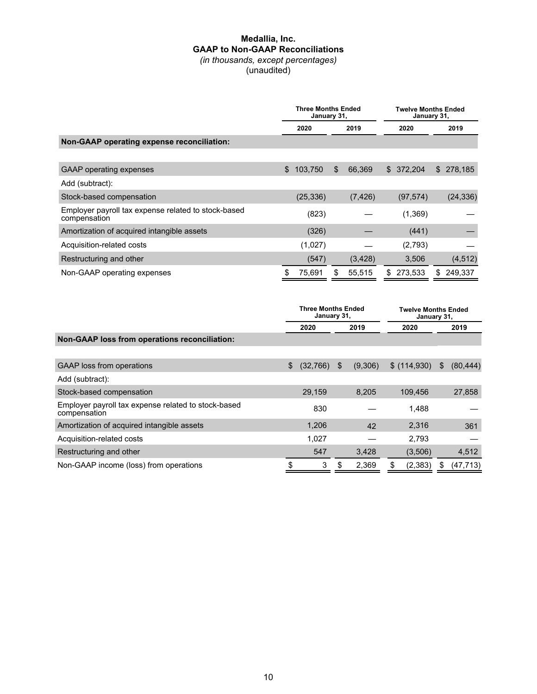## **Medallia, Inc. GAAP to Non-GAAP Reconciliations** *(in thousands, except percentages)* (unaudited)

|                                                                     | <b>Three Months Ended</b><br>January 31, |           |    |          | <b>Twelve Months Ended</b><br>January 31, |           |               |
|---------------------------------------------------------------------|------------------------------------------|-----------|----|----------|-------------------------------------------|-----------|---------------|
|                                                                     |                                          | 2020      |    | 2019     | 2020                                      |           | 2019          |
| Non-GAAP operating expense reconciliation:                          |                                          |           |    |          |                                           |           |               |
|                                                                     |                                          |           |    |          |                                           |           |               |
| <b>GAAP</b> operating expenses                                      | $\mathbb{S}$                             | 103,750   | \$ | 66.369   |                                           | \$372,204 | \$278,185     |
| Add (subtract):                                                     |                                          |           |    |          |                                           |           |               |
| Stock-based compensation                                            |                                          | (25, 336) |    | (7, 426) |                                           | (97, 574) | (24, 336)     |
| Employer payroll tax expense related to stock-based<br>compensation |                                          | (823)     |    |          |                                           | (1,369)   |               |
| Amortization of acquired intangible assets                          |                                          | (326)     |    |          |                                           | (441)     |               |
| Acquisition-related costs                                           |                                          | (1,027)   |    |          |                                           | (2,793)   |               |
| Restructuring and other                                             |                                          | (547)     |    | (3, 428) |                                           | 3,506     | (4, 512)      |
| Non-GAAP operating expenses                                         | \$                                       | 75,691    | \$ | 55,515   | \$                                        | 273,533   | \$<br>249,337 |

|                                                                     | <b>Three Months Ended</b><br>January 31, |               |   |         | <b>Twelve Months Ended</b><br>January 31, |             |      |           |
|---------------------------------------------------------------------|------------------------------------------|---------------|---|---------|-------------------------------------------|-------------|------|-----------|
|                                                                     | 2020<br>2019                             |               |   | 2020    |                                           |             | 2019 |           |
| Non-GAAP loss from operations reconciliation:                       |                                          |               |   |         |                                           |             |      |           |
|                                                                     |                                          |               |   |         |                                           |             |      |           |
| <b>GAAP</b> loss from operations                                    | $\mathbb{S}$                             | $(32,766)$ \$ |   | (9,306) |                                           | \$(114,930) | \$   | (80, 444) |
| Add (subtract):                                                     |                                          |               |   |         |                                           |             |      |           |
| Stock-based compensation                                            |                                          | 29,159        |   | 8,205   |                                           | 109,456     |      | 27,858    |
| Employer payroll tax expense related to stock-based<br>compensation |                                          | 830           |   |         |                                           | 1,488       |      |           |
| Amortization of acquired intangible assets                          |                                          | 1,206         |   | 42      |                                           | 2,316       |      | 361       |
| Acquisition-related costs                                           |                                          | 1,027         |   |         |                                           | 2,793       |      |           |
| Restructuring and other                                             |                                          | 547           |   | 3,428   |                                           | (3,506)     |      | 4,512     |
| Non-GAAP income (loss) from operations                              |                                          | 3             | S | 2,369   |                                           | (2, 383)    |      | (47, 713) |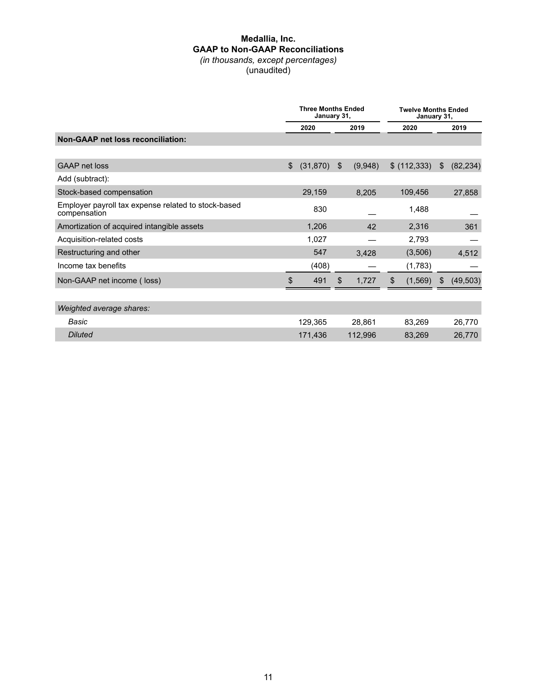## **Medallia, Inc. GAAP to Non-GAAP Reconciliations** *(in thousands, except percentages)* (unaudited)

|                                                                     | <b>Three Months Ended</b><br>January 31, |           |     |         | <b>Twelve Months Ended</b><br>January 31, |               |    |           |  |      |
|---------------------------------------------------------------------|------------------------------------------|-----------|-----|---------|-------------------------------------------|---------------|----|-----------|--|------|
|                                                                     |                                          | 2020      |     | 2019    |                                           | 2020          |    |           |  | 2019 |
| <b>Non-GAAP net loss reconciliation:</b>                            |                                          |           |     |         |                                           |               |    |           |  |      |
|                                                                     |                                          |           |     |         |                                           |               |    |           |  |      |
| <b>GAAP</b> net loss                                                | \$                                       | (31, 870) | \$  | (9,948) |                                           | \$ (112, 333) | \$ | (82, 234) |  |      |
| Add (subtract):                                                     |                                          |           |     |         |                                           |               |    |           |  |      |
| Stock-based compensation                                            |                                          | 29,159    |     | 8,205   |                                           | 109,456       |    | 27,858    |  |      |
| Employer payroll tax expense related to stock-based<br>compensation |                                          | 830       |     |         |                                           | 1,488         |    |           |  |      |
| Amortization of acquired intangible assets                          |                                          | 1,206     |     | 42      |                                           | 2,316         |    | 361       |  |      |
| Acquisition-related costs                                           |                                          | 1,027     |     |         |                                           | 2,793         |    |           |  |      |
| Restructuring and other                                             |                                          | 547       |     | 3,428   |                                           | (3,506)       |    | 4,512     |  |      |
| Income tax benefits                                                 |                                          | (408)     |     |         |                                           | (1,783)       |    |           |  |      |
| Non-GAAP net income (loss)                                          | \$                                       | 491       | \$. | 1,727   | \$                                        | (1, 569)      | S  | (49, 503) |  |      |
|                                                                     |                                          |           |     |         |                                           |               |    |           |  |      |
| Weighted average shares:                                            |                                          |           |     |         |                                           |               |    |           |  |      |
| Basic                                                               |                                          | 129,365   |     | 28,861  |                                           | 83,269        |    | 26,770    |  |      |
| <b>Diluted</b>                                                      |                                          | 171,436   |     | 112,996 |                                           | 83,269        |    | 26,770    |  |      |